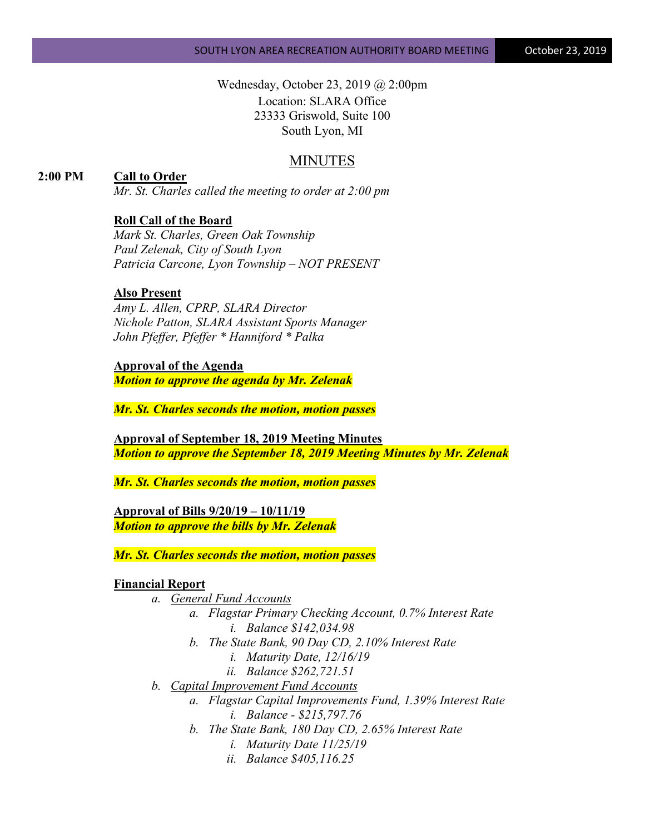Wednesday, October 23, 2019 @ 2:00pm Location: SLARA Office 23333 Griswold, Suite 100 South Lyon, MI

# MINUTES

## **2:00 PM Call to Order**

*Mr. St. Charles called the meeting to order at 2:00 pm*

### **Roll Call of the Board**

*Mark St. Charles, Green Oak Township Paul Zelenak, City of South Lyon Patricia Carcone, Lyon Township – NOT PRESENT*

### **Also Present**

*Amy L. Allen, CPRP, SLARA Director Nichole Patton, SLARA Assistant Sports Manager John Pfeffer, Pfeffer \* Hanniford \* Palka*

### **Approval of the Agenda**

*Motion to approve the agenda by Mr. Zelenak*

*Mr. St. Charles seconds the motion, motion passes*

**Approval of September 18, 2019 Meeting Minutes** *Motion to approve the September 18, 2019 Meeting Minutes by Mr. Zelenak*

*Mr. St. Charles seconds the motion, motion passes*

**Approval of Bills 9/20/19 – 10/11/19** *Motion to approve the bills by Mr. Zelenak*

*Mr. St. Charles seconds the motion, motion passes*

#### **Financial Report**

- *a. General Fund Accounts*
	- *a. Flagstar Primary Checking Account, 0.7% Interest Rate i. Balance \$142,034.98*
	- *b. The State Bank, 90 Day CD, 2.10% Interest Rate*
		- *i. Maturity Date, 12/16/19*
		- *ii. Balance \$262,721.51*
- *b. Capital Improvement Fund Accounts*
	- *a. Flagstar Capital Improvements Fund, 1.39% Interest Rate i. Balance - \$215,797.76*
	- *b. The State Bank, 180 Day CD, 2.65% Interest Rate*
		- *i. Maturity Date 11/25/19*
		- *ii. Balance \$405,116.25*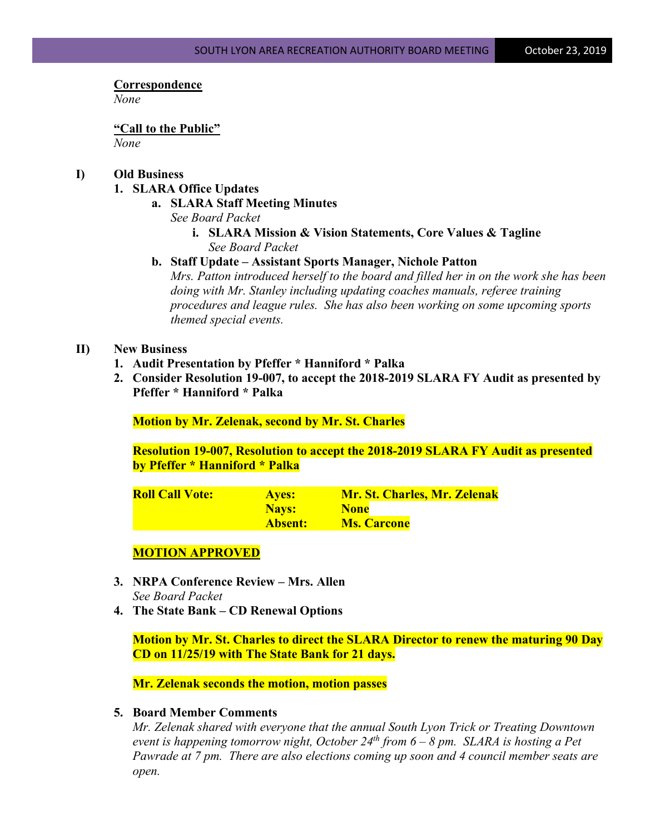### **Correspondence**

*None*

**"Call to the Public"** *None*

# **I) Old Business**

### **1. SLARA Office Updates**

**a. SLARA Staff Meeting Minutes**

*See Board Packet*

- **i. SLARA Mission & Vision Statements, Core Values & Tagline** *See Board Packet*
- **b. Staff Update – Assistant Sports Manager, Nichole Patton**

*Mrs. Patton introduced herself to the board and filled her in on the work she has been doing with Mr. Stanley including updating coaches manuals, referee training procedures and league rules. She has also been working on some upcoming sports themed special events.*

# **II) New Business**

- **1. Audit Presentation by Pfeffer \* Hanniford \* Palka**
- **2. Consider Resolution 19-007, to accept the 2018-2019 SLARA FY Audit as presented by Pfeffer \* Hanniford \* Palka**

**Motion by Mr. Zelenak, second by Mr. St. Charles**

**Resolution 19-007, Resolution to accept the 2018-2019 SLARA FY Audit as presented by Pfeffer \* Hanniford \* Palka**

| <b>Roll Call Vote:</b> | <b>Ayes:</b> | <b>Mr. St. Charles, Mr. Zelenak</b> |
|------------------------|--------------|-------------------------------------|
|                        | Nays:        | <b>None</b>                         |
|                        | Absent:      | <b>Ms. Carcone</b>                  |

# **MOTION APPROVED**

- **3. NRPA Conference Review – Mrs. Allen** *See Board Packet*
- **4. The State Bank – CD Renewal Options**

**Motion by Mr. St. Charles to direct the SLARA Director to renew the maturing 90 Day CD on 11/25/19 with The State Bank for 21 days.**

**Mr. Zelenak seconds the motion, motion passes**

### **5. Board Member Comments**

*Mr. Zelenak shared with everyone that the annual South Lyon Trick or Treating Downtown event is happening tomorrow night, October 24th from 6 – 8 pm. SLARA is hosting a Pet Pawrade at 7 pm. There are also elections coming up soon and 4 council member seats are open.*